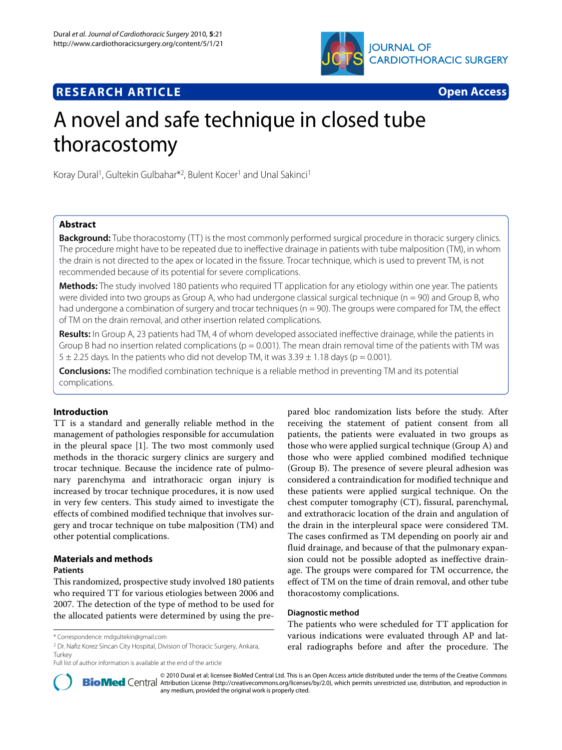

# **RESEARCH ARTICLE Open Access**

# A novel and safe technique in closed tube thoracostomy

Koray Dural<sup>1</sup>, Gultekin Gulbahar<sup>\*2</sup>, Bulent Kocer<sup>1</sup> and Unal Sakinci<sup>1</sup>

# **Abstract**

**Background:** Tube thoracostomy (TT) is the most commonly performed surgical procedure in thoracic surgery clinics. The procedure might have to be repeated due to ineffective drainage in patients with tube malposition (TM), in whom the drain is not directed to the apex or located in the fissure. Trocar technique, which is used to prevent TM, is not recommended because of its potential for severe complications.

**Methods:** The study involved 180 patients who required TT application for any etiology within one year. The patients were divided into two groups as Group A, who had undergone classical surgical technique (n = 90) and Group B, who had undergone a combination of surgery and trocar techniques ( $n = 90$ ). The groups were compared for TM, the effect of TM on the drain removal, and other insertion related complications.

**Results:** In Group A, 23 patients had TM, 4 of whom developed associated ineffective drainage, while the patients in Group B had no insertion related complications ( $p = 0.001$ ). The mean drain removal time of the patients with TM was  $5 \pm 2.25$  days. In the patients who did not develop TM, it was  $3.39 \pm 1.18$  days (p = 0.001).

**Conclusions:** The modified combination technique is a reliable method in preventing TM and its potential complications.

# **Introduction**

TT is a standard and generally reliable method in the management of pathologies responsible for accumulation in the pleural space [[1\]](#page-3-0). The two most commonly used methods in the thoracic surgery clinics are surgery and trocar technique. Because the incidence rate of pulmonary parenchyma and intrathoracic organ injury is increased by trocar technique procedures, it is now used in very few centers. This study aimed to investigate the effects of combined modified technique that involves surgery and trocar technique on tube malposition (TM) and other potential complications.

# **Materials and methods**

**Patients**

This randomized, prospective study involved 180 patients who required TT for various etiologies between 2006 and 2007. The detection of the type of method to be used for the allocated patients were determined by using the pre-

2 Dr. Nafiz Korez Sincan City Hospital, Division of Thoracic Surgery, Ankara, Turkey

Full list of author information is available at the end of the article

pared bloc randomization lists before the study. After receiving the statement of patient consent from all patients, the patients were evaluated in two groups as those who were applied surgical technique (Group A) and those who were applied combined modified technique (Group B). The presence of severe pleural adhesion was considered a contraindication for modified technique and these patients were applied surgical technique. On the chest computer tomography (CT), fissural, parenchymal, and extrathoracic location of the drain and angulation of the drain in the interpleural space were considered TM. The cases confirmed as TM depending on poorly air and fluid drainage, and because of that the pulmonary expansion could not be possible adopted as ineffective drainage. The groups were compared for TM occurrence, the effect of TM on the time of drain removal, and other tube thoracostomy complications.

# **Diagnostic method**

The patients who were scheduled for TT application for various indications were evaluated through AP and lateral radiographs before and after the procedure. The



2010 Dural et al; licensee [BioMed](http://www.biomedcentral.com/) Central Ltd. This is an Open Access article distributed under the terms of the Creative Commons (http://creativecommons.org/licenses/by/2.0), which permits unrestricted use, distribution, any medium, provided the original work is properly cited.

<sup>\*</sup> Correspondence: mdgultekin@gmail.com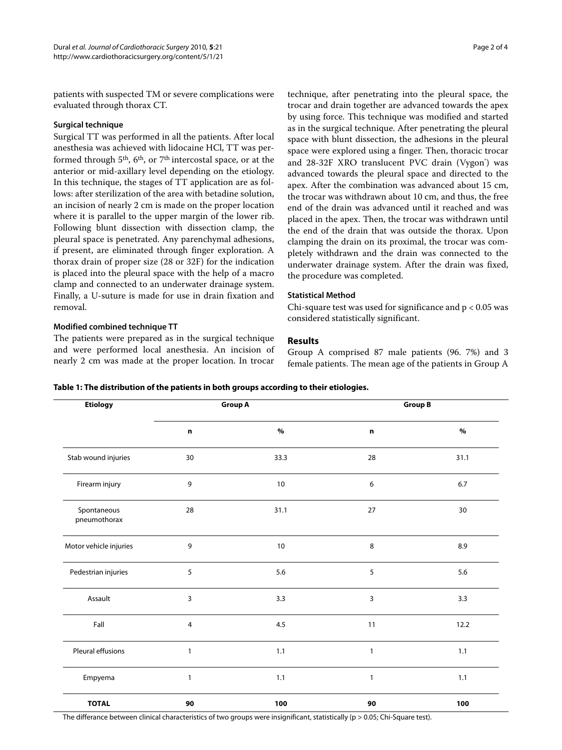patients with suspected TM or severe complications were evaluated through thorax CT.

#### **Surgical technique**

Surgical TT was performed in all the patients. After local anesthesia was achieved with lidocaine HCl, TT was performed through 5th, 6th, or 7th intercostal space, or at the anterior or mid-axillary level depending on the etiology. In this technique, the stages of TT application are as follows: after sterilization of the area with betadine solution, an incision of nearly 2 cm is made on the proper location where it is parallel to the upper margin of the lower rib. Following blunt dissection with dissection clamp, the pleural space is penetrated. Any parenchymal adhesions, if present, are eliminated through finger exploration. A thorax drain of proper size (28 or 32F) for the indication is placed into the pleural space with the help of a macro clamp and connected to an underwater drainage system. Finally, a U-suture is made for use in drain fixation and removal.

## **Modified combined technique TT**

The patients were prepared as in the surgical technique and were performed local anesthesia. An incision of nearly 2 cm was made at the proper location. In trocar

technique, after penetrating into the pleural space, the trocar and drain together are advanced towards the apex by using force. This technique was modified and started as in the surgical technique. After penetrating the pleural space with blunt dissection, the adhesions in the pleural space were explored using a finger. Then, thoracic trocar and 28-32F XRO translucent PVC drain (Vygon<sup>®</sup>) was advanced towards the pleural space and directed to the apex. After the combination was advanced about 15 cm, the trocar was withdrawn about 10 cm, and thus, the free end of the drain was advanced until it reached and was placed in the apex. Then, the trocar was withdrawn until the end of the drain that was outside the thorax. Upon clamping the drain on its proximal, the trocar was completely withdrawn and the drain was connected to the underwater drainage system. After the drain was fixed, the procedure was completed.

## **Statistical Method**

Chi-square test was used for significance and p < 0.05 was considered statistically significant.

#### **Results**

Group A comprised 87 male patients (96. 7%) and 3 female patients. The mean age of the patients in Group A

| Table 1: The distribution of the patients in both groups according to their etiologies. |  |  |  |
|-----------------------------------------------------------------------------------------|--|--|--|
|-----------------------------------------------------------------------------------------|--|--|--|

| <b>Etiology</b>             | <b>Group A</b> |      | <b>Group B</b> |      |
|-----------------------------|----------------|------|----------------|------|
|                             | n              | $\%$ | $\mathbf n$    | $\%$ |
| Stab wound injuries         | 30             | 33.3 | 28             | 31.1 |
| Firearm injury              | 9              | 10   | 6              | 6.7  |
| Spontaneous<br>pneumothorax | 28             | 31.1 | 27             | 30   |
| Motor vehicle injuries      | 9              | 10   | 8              | 8.9  |
| Pedestrian injuries         | 5              | 5.6  | 5              | 5.6  |
| Assault                     | 3              | 3.3  | 3              | 3.3  |
| Fall                        | $\overline{4}$ | 4.5  | 11             | 12.2 |
| Pleural effusions           | $\mathbf{1}$   | 1.1  | $\mathbf{1}$   | 1.1  |
| Empyema                     | $\mathbf{1}$   | 1.1  | $\mathbf{1}$   | 1.1  |
| <b>TOTAL</b>                | 90             | 100  | 90             | 100  |

The differance between clinical characteristics of two groups were insignificant, statistically ( $p > 0.05$ ; Chi-Square test).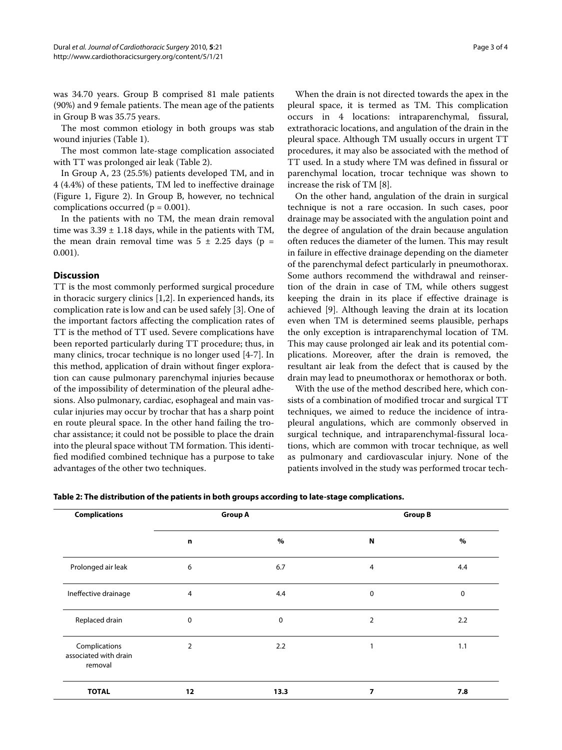was 34.70 years. Group B comprised 81 male patients (90%) and 9 female patients. The mean age of the patients in Group B was 35.75 years.

The most common etiology in both groups was stab wound injuries (Table 1).

The most common late-stage complication associated with TT was prolonged air leak (Table [2](#page-2-0)).

In Group A, 23 (25.5%) patients developed TM, and in 4 (4.4%) of these patients, TM led to ineffective drainage (Figure [1](#page-3-1), Figure [2\)](#page-3-2). In Group B, however, no technical complications occurred ( $p = 0.001$ ).

In the patients with no TM, the mean drain removal time was  $3.39 \pm 1.18$  days, while in the patients with TM, the mean drain removal time was  $5 \pm 2.25$  days (p = 0.001).

# **Discussion**

TT is the most commonly performed surgical procedure in thoracic surgery clinics [[1](#page-3-0)[,2](#page-3-3)]. In experienced hands, its complication rate is low and can be used safely [\[3](#page-3-4)]. One of the important factors affecting the complication rates of TT is the method of TT used. Severe complications have been reported particularly during TT procedure; thus, in many clinics, trocar technique is no longer used [\[4](#page-3-5)-[7\]](#page-3-6). In this method, application of drain without finger exploration can cause pulmonary parenchymal injuries because of the impossibility of determination of the pleural adhesions. Also pulmonary, cardiac, esophageal and main vascular injuries may occur by trochar that has a sharp point en route pleural space. In the other hand failing the trochar assistance; it could not be possible to place the drain into the pleural space without TM formation. This identified modified combined technique has a purpose to take advantages of the other two techniques.

When the drain is not directed towards the apex in the pleural space, it is termed as TM. This complication occurs in 4 locations: intraparenchymal, fissural, extrathoracic locations, and angulation of the drain in the pleural space. Although TM usually occurs in urgent TT procedures, it may also be associated with the method of TT used. In a study where TM was defined in fissural or parenchymal location, trocar technique was shown to increase the risk of TM [[8\]](#page-3-7).

On the other hand, angulation of the drain in surgical technique is not a rare occasion. In such cases, poor drainage may be associated with the angulation point and the degree of angulation of the drain because angulation often reduces the diameter of the lumen. This may result in failure in effective drainage depending on the diameter of the parenchymal defect particularly in pneumothorax. Some authors recommend the withdrawal and reinsertion of the drain in case of TM, while others suggest keeping the drain in its place if effective drainage is achieved [[9\]](#page-3-8). Although leaving the drain at its location even when TM is determined seems plausible, perhaps the only exception is intraparenchymal location of TM. This may cause prolonged air leak and its potential complications. Moreover, after the drain is removed, the resultant air leak from the defect that is caused by the drain may lead to pneumothorax or hemothorax or both.

With the use of the method described here, which consists of a combination of modified trocar and surgical TT techniques, we aimed to reduce the incidence of intrapleural angulations, which are commonly observed in surgical technique, and intraparenchymal-fissural locations, which are common with trocar technique, as well as pulmonary and cardiovascular injury. None of the patients involved in the study was performed trocar tech-

<span id="page-2-0"></span>

| <b>Complications</b>                              | <b>Group A</b> |             | <b>Group B</b> |             |
|---------------------------------------------------|----------------|-------------|----------------|-------------|
|                                                   | n              | %           | N              | $\%$        |
| Prolonged air leak                                | 6              | 6.7         | 4              | 4.4         |
| Ineffective drainage                              | 4              | 4.4         | $\mathbf 0$    | $\mathbf 0$ |
| Replaced drain                                    | 0              | $\mathbf 0$ | $\overline{2}$ | 2.2         |
| Complications<br>associated with drain<br>removal | $\overline{2}$ | 2.2         |                | 1.1         |
| <b>TOTAL</b>                                      | 12             | 13.3        | 7              | 7.8         |